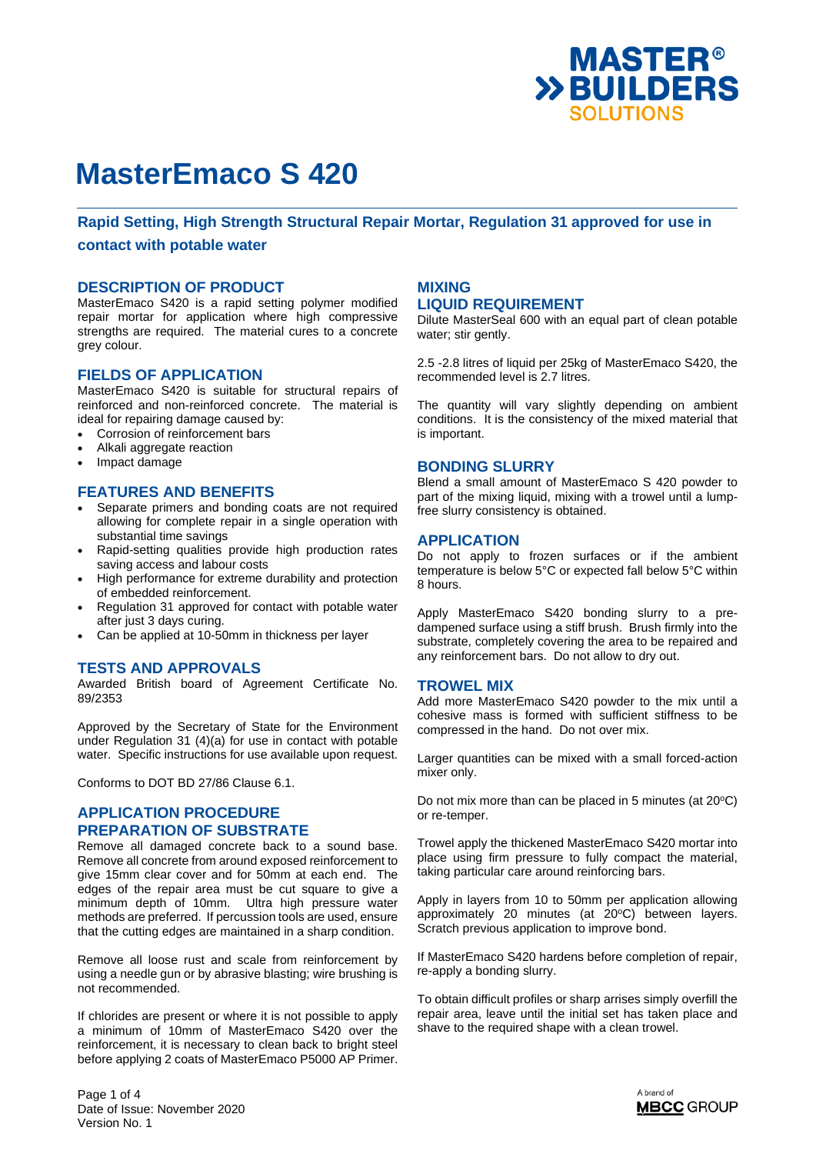

### **Rapid Setting, High Strength Structural Repair Mortar, Regulation 31 approved for use in**

#### **contact with potable water**

#### **DESCRIPTION OF PRODUCT**

MasterEmaco S420 is a rapid setting polymer modified repair mortar for application where high compressive strengths are required. The material cures to a concrete arev colour.

#### **FIELDS OF APPLICATION**

MasterEmaco S420 is suitable for structural repairs of reinforced and non-reinforced concrete. The material is ideal for repairing damage caused by:

- Corrosion of reinforcement bars
- Alkali aggregate reaction
- Impact damage

#### **FEATURES AND BENEFITS**

- Separate primers and bonding coats are not required allowing for complete repair in a single operation with substantial time savings
- Rapid-setting qualities provide high production rates saving access and labour costs
- High performance for extreme durability and protection of embedded reinforcement.
- Regulation 31 approved for contact with potable water after just 3 days curing.
- Can be applied at 10-50mm in thickness per layer

### **TESTS AND APPROVALS**

Awarded British board of Agreement Certificate No. 89/2353

Approved by the Secretary of State for the Environment under Regulation 31 (4)(a) for use in contact with potable water. Specific instructions for use available upon request.

Conforms to DOT BD 27/86 Clause 6.1.

### **APPLICATION PROCEDURE PREPARATION OF SUBSTRATE**

Remove all damaged concrete back to a sound base. Remove all concrete from around exposed reinforcement to give 15mm clear cover and for 50mm at each end. The edges of the repair area must be cut square to give a minimum depth of 10mm. Ultra high pressure water methods are preferred. If percussion tools are used, ensure that the cutting edges are maintained in a sharp condition.

Remove all loose rust and scale from reinforcement by using a needle gun or by abrasive blasting; wire brushing is not recommended.

If chlorides are present or where it is not possible to apply a minimum of 10mm of MasterEmaco S420 over the reinforcement, it is necessary to clean back to bright steel before applying 2 coats of MasterEmaco P5000 AP Primer.

### **MIXING LIQUID REQUIREMENT**

Dilute MasterSeal 600 with an equal part of clean potable water; stir gently.

2.5 -2.8 litres of liquid per 25kg of MasterEmaco S420, the recommended level is 2.7 litres.

The quantity will vary slightly depending on ambient conditions. It is the consistency of the mixed material that is important.

#### **BONDING SLURRY**

Blend a small amount of MasterEmaco S 420 powder to part of the mixing liquid, mixing with a trowel until a lumpfree slurry consistency is obtained.

#### **APPLICATION**

Do not apply to frozen surfaces or if the ambient temperature is below 5°C or expected fall below 5°C within 8 hours.

Apply MasterEmaco S420 bonding slurry to a predampened surface using a stiff brush. Brush firmly into the substrate, completely covering the area to be repaired and any reinforcement bars. Do not allow to dry out.

#### **TROWEL MIX**

Add more MasterEmaco S420 powder to the mix until a cohesive mass is formed with sufficient stiffness to be compressed in the hand. Do not over mix.

Larger quantities can be mixed with a small forced-action mixer only.

Do not mix more than can be placed in 5 minutes (at  $20^{\circ}$ C) or re-temper.

Trowel apply the thickened MasterEmaco S420 mortar into place using firm pressure to fully compact the material, taking particular care around reinforcing bars.

Apply in layers from 10 to 50mm per application allowing approximately 20 minutes (at 20°C) between layers. Scratch previous application to improve bond.

If MasterEmaco S420 hardens before completion of repair, re-apply a bonding slurry.

To obtain difficult profiles or sharp arrises simply overfill the repair area, leave until the initial set has taken place and shave to the required shape with a clean trowel.



Page 1 of 4 Date of Issue: November 2020 Version No. 1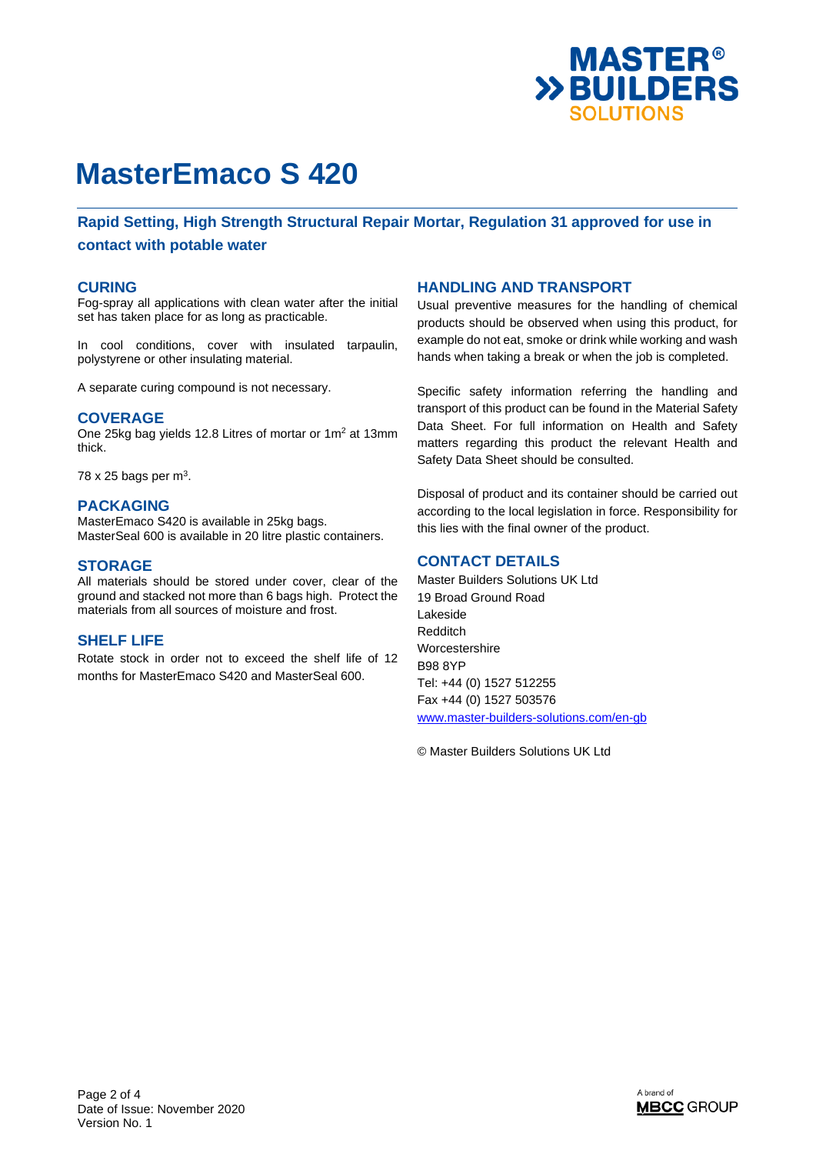

**Rapid Setting, High Strength Structural Repair Mortar, Regulation 31 approved for use in contact with potable water** 

#### **CURING**

Fog-spray all applications with clean water after the initial set has taken place for as long as practicable.

In cool conditions, cover with insulated tarpaulin, polystyrene or other insulating material.

A separate curing compound is not necessary.

#### **COVERAGE**

One 25kg bag yields 12.8 Litres of mortar or  $1m^2$  at 13mm thick.

78 x 25 bags per  $m<sup>3</sup>$ .

#### **PACKAGING**

MasterEmaco S420 is available in 25kg bags. MasterSeal 600 is available in 20 litre plastic containers.

#### **STORAGE**

All materials should be stored under cover, clear of the ground and stacked not more than 6 bags high. Protect the materials from all sources of moisture and frost.

## **SHELF LIFE**

Rotate stock in order not to exceed the shelf life of 12 months for MasterEmaco S420 and MasterSeal 600.

#### **HANDLING AND TRANSPORT**

Usual preventive measures for the handling of chemical products should be observed when using this product, for example do not eat, smoke or drink while working and wash hands when taking a break or when the job is completed.

Specific safety information referring the handling and transport of this product can be found in the Material Safety Data Sheet. For full information on Health and Safety matters regarding this product the relevant Health and Safety Data Sheet should be consulted.

Disposal of product and its container should be carried out according to the local legislation in force. Responsibility for this lies with the final owner of the product.

### **CONTACT DETAILS**

Master Builders Solutions UK Ltd 19 Broad Ground Road Lakeside Redditch Worcestershire B98 8YP Tel: +44 (0) 1527 512255 Fax +44 (0) 1527 503576 www.master-builders-solutions.com/en-gb

© Master Builders Solutions UK Ltd

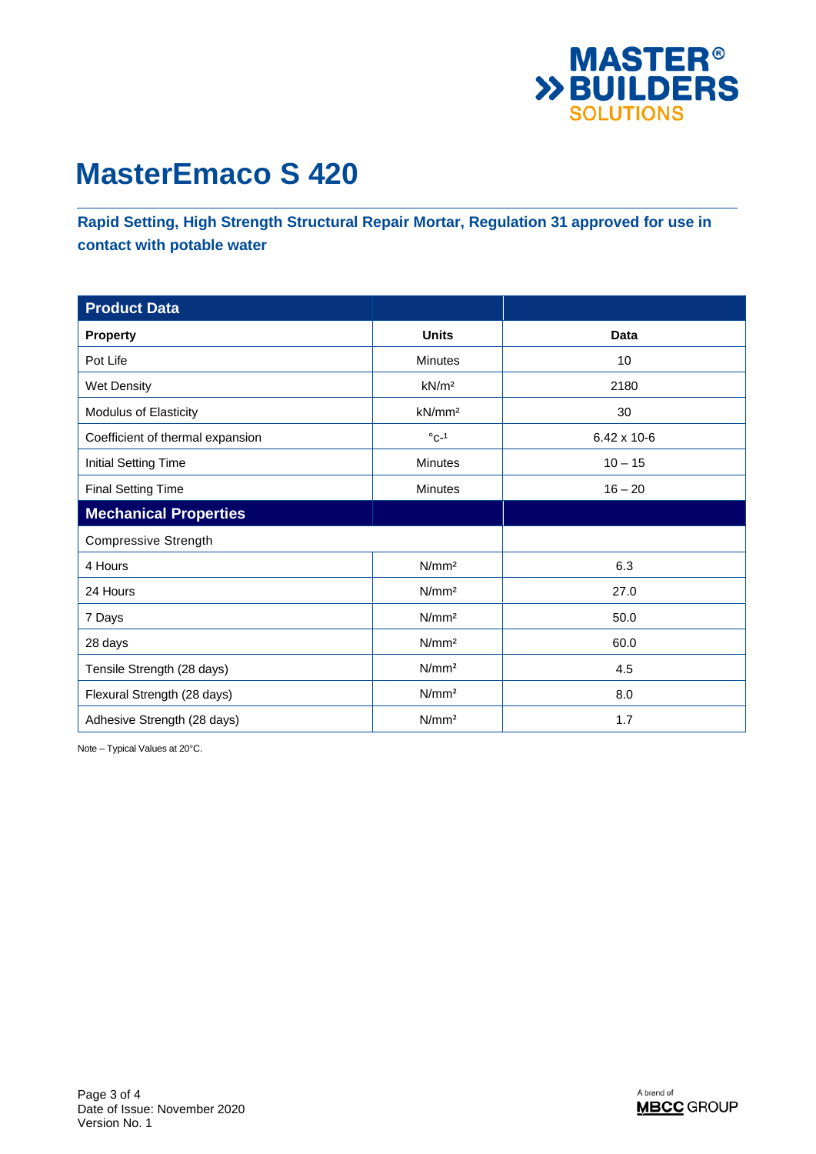

**Rapid Setting, High Strength Structural Repair Mortar, Regulation 31 approved for use in contact with potable water** 

| <b>Product Data</b>              |                    |             |
|----------------------------------|--------------------|-------------|
| <b>Property</b>                  | <b>Units</b>       | Data        |
| Pot Life                         | <b>Minutes</b>     | 10          |
| Wet Density                      | kN/m <sup>2</sup>  | 2180        |
| Modulus of Elasticity            | kN/mm <sup>2</sup> | 30          |
| Coefficient of thermal expansion | $^{\circ}$ C-1     | 6.42 x 10-6 |
| <b>Initial Setting Time</b>      | Minutes            | $10 - 15$   |
| <b>Final Setting Time</b>        | <b>Minutes</b>     | $16 - 20$   |
| <b>Mechanical Properties</b>     |                    |             |
| <b>Compressive Strength</b>      |                    |             |
| 4 Hours                          | N/mm <sup>2</sup>  | 6.3         |
| 24 Hours                         | N/mm <sup>2</sup>  | 27.0        |
| 7 Days                           | N/mm <sup>2</sup>  | 50.0        |
| 28 days                          | N/mm <sup>2</sup>  | 60.0        |
| Tensile Strength (28 days)       | N/mm <sup>2</sup>  | 4.5         |
| Flexural Strength (28 days)      | N/mm <sup>2</sup>  | 8.0         |
| Adhesive Strength (28 days)      | N/mm <sup>2</sup>  | 1.7         |

Note – Typical Values at 20°C.